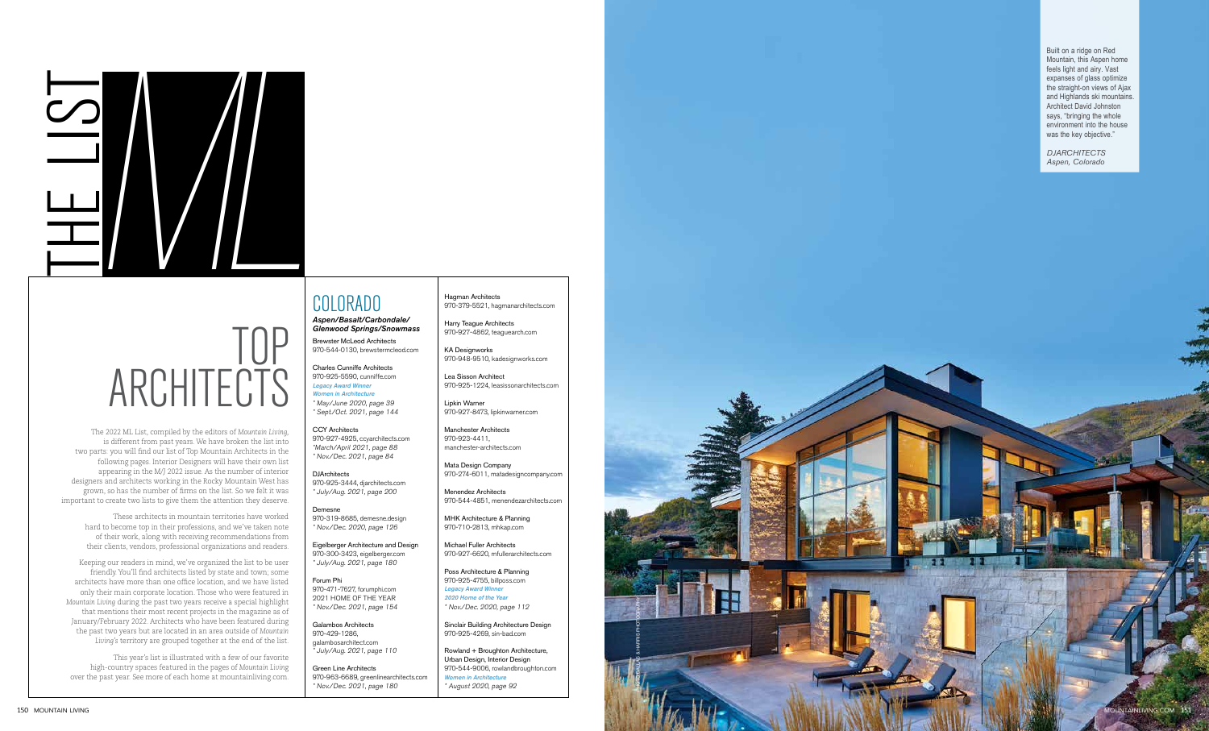

# TOP ARCHITECTS

# COLORADO

### *Aspen/Basalt/Carbondale/ Glenwood Springs/Snowmass*

Brewster McLeod Architects 970-544-0130, brewstermcleod.com

Charles Cunniffe Architects 970-925-5590, cunniffe.com Legacy Award Winner Women in Architecture

**DJArchitects** 970-925-3444, djarchitects.com \* July/Aug. 2021, page 200

\* May/June 2020, page 39 \* Sept./Oct. 2021, page 144

CCY Architects 970-927-4925, ccyarchitects.com \*March/April 2021, page 88 \* Nov./Dec. 2021, page 84

Demesne 970-319-8685, demesne.design \* Nov./Dec. 2020, page 126

Eigelberger Architecture and Design 970-300-3423, eigelberger.com \* July/Aug. 2021, page 180

Forum Phi 970-471-7627, forumphi.com 2021 HOME OF THE YEAR \* Nov./Dec. 2021, page 154

Galambos Architects 970-429-1286, galambosarchitect.com \* July/Aug. 2021, page 110

Green Line Architects 970-963-6689, greenlinearchitects.com \* Nov./Dec. 2021, page 180

Hagman Architects 970-379-5521, hagmanarchitects.com

Harry Teague Architects 970-927-4862, teaguearch.com

KA Designworks 970-948-9510, kadesignworks.com

Lea Sisson Architect 970-925-1224, leasissonarchitects.com

Lipkin Warner 970-927-8473, lipkinwarner.com

Manchester Architects 970-923-4411, manchester-architects.com

Mata Design Company 970-274-6011, matadesigncompany.com

Menendez Architects 970-544-4851, menendezarchitects.com

MHK Architecture & Planning 970-710-2813, mhkap.com

Michael Fuller Architects 970-927-6620, mfullerarchitects.com

Poss Architecture & Planning 970-925-4755, billposs.com Legacy Award Winner 2020 Home of the Year

\* Nov./Dec. 2020, page 112

Sinclair Building Architecture Design 970-925-4269, sin-bad.com



Rowland + Broughton Architecture, Urban Design, Interior Design 970-544-9006, rowlandbroughton.com Women in Architecture \* August 2020, page 92

The 2022 ML List, compiled by the editors of *Mountain Living,* is different from past years. We have broken the list into two parts: you will find our list of Top Mountain Architects in the following pages. Interior Designers will have their own list appearing in the M/J 2022 issue. As the number of interior designers and architects working in the Rocky Mountain West has grown, so has the number of firms on the list. So we felt it was important to create two lists to give them the attention they deserve.

> These architects in mountain territories have worked hard to become top in their professions, and we've taken note of their work, along with receiving recommendations from their clients, vendors, professional organizations and readers.

Keeping our readers in mind, we've organized the list to be user friendly. You'll find architects listed by state and town; some architects have more than one office location, and we have listed only their main corporate location. Those who were featured in *Mountain Living* during the past two years receive a special highlight that mentions their most recent projects in the magazine as of January/February 2022. Architects who have been featured during the past two years but are located in an area outside of *Mountain Living's* territory are grouped together at the end of the list.

This year's list is illustrated with a few of our favorite high-country spaces featured in the pages of *Mountain Livin*g over the past year. See more of each home at mountainliving.com.

Built on a ridge on Red Mountain, this Aspen home feels light and airy. Vast expanses of glass optimize the straight-on views of Ajax and Highlands ski mountains. Architect David Johnston says, "bringing the whole environment into the house was the key objective."

*DJARCHITECTS Aspen, Colorado*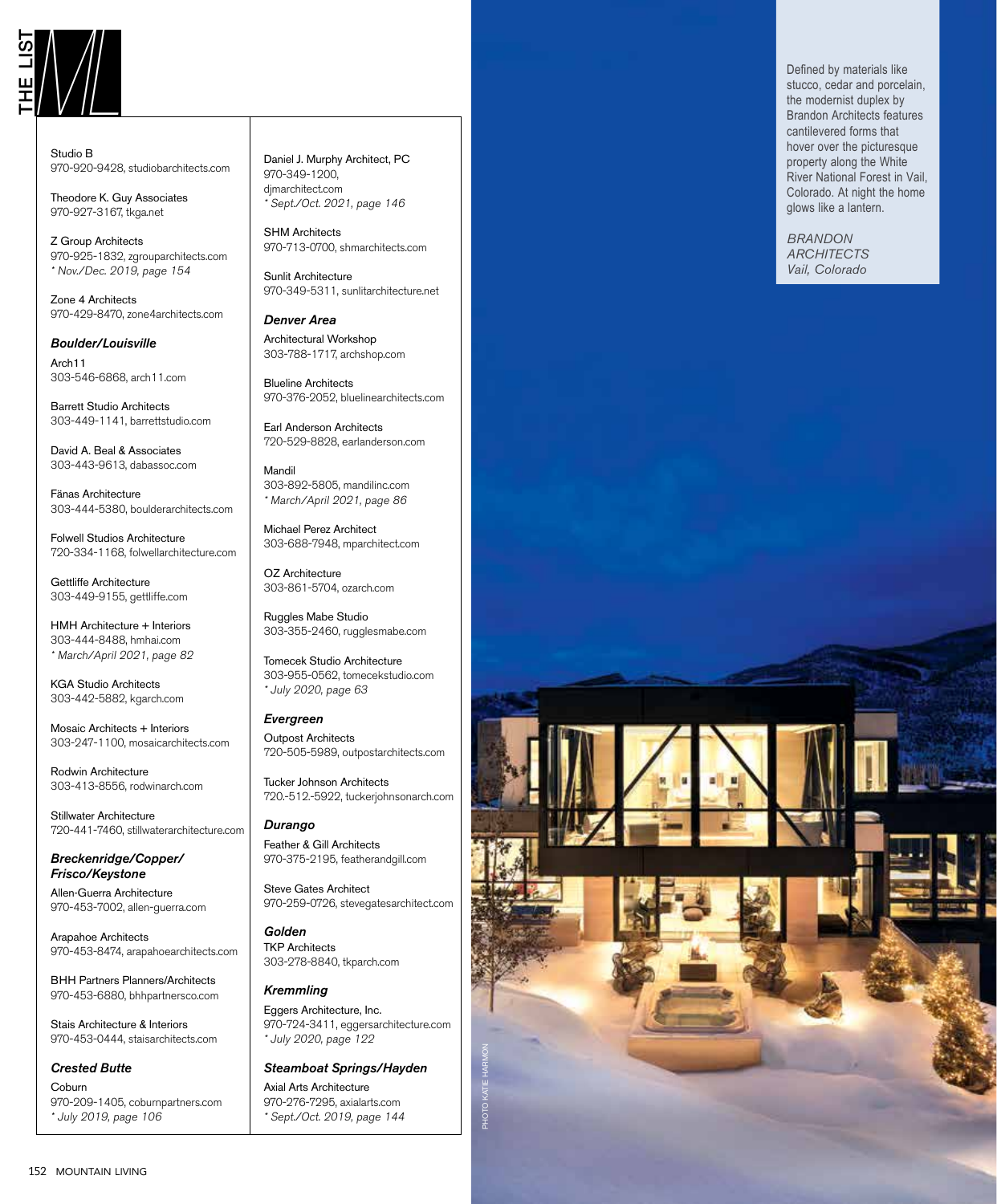

Studio B 970-920-9428, studiobarchitects.com

Theodore K. Guy Associates 970-927-3167, tkga.net

Z Group Architects 970-925-1832, zgrouparchitects.com \* Nov./Dec. 2019, page 154

Zone 4 Architects 970-429-8470, zone4architects.com

#### *Boulder/Louisville*

Arch11 303-546-6868, arch11.com

Barrett Studio Architects 303-449-1141, barrettstudio.com

David A. Beal & Associates 303-443-9613, dabassoc.com

Fänas Architecture 303-444-5380, boulderarchitects.com

Folwell Studios Architecture 720-334-1168, folwellarchitecture.com

Gettliffe Architecture 303-449-9155, gettliffe.com

HMH Architecture + Interiors 303-444-8488, hmhai.com \* March/April 2021, page 82

KGA Studio Architects 303-442-5882, kgarch.com

Mosaic Architects + Interiors 303-247-1100, mosaicarchitects.com

Rodwin Architecture 303-413-8556, rodwinarch.com

Stillwater Architecture 720-441-7460, stillwaterarchitecture.com

*Breckenridge/Copper/ Frisco/Keystone*

Allen-Guerra Architecture 970-453-7002, allen-guerra.com

Arapahoe Architects 970-453-8474, arapahoearchitects.com

BHH Partners Planners/Architects 970-453-6880, bhhpartnersco.com

Stais Architecture & Interiors 970-453-0444, staisarchitects.com

### *Crested Butte*

Coburn 970-209-1405, coburnpartners.com \* July 2019, page 106

Daniel J. Murphy Architect, PC 970-349-1200, djmarchitect.com \* Sept./Oct. 2021, page 146

SHM Architects 970-713-0700, shmarchitects.com

Sunlit Architecture 970-349-5311, sunlitarchitecture.net

*Denver Area* Architectural Workshop 303-788-1717, archshop.com

Blueline Architects 970-376-2052, bluelinearchitects.com

Earl Anderson Architects 720-529-8828, earlanderson.com

Mandil 303-892-5805, mandilinc.com \* March/April 2021, page 86

Michael Perez Architect 303-688-7948, mparchitect.com

OZ Architecture 303-861-5704, ozarch.com

Ruggles Mabe Studio 303-355-2460, rugglesmabe.com

Tomecek Studio Architecture 303-955-0562, tomecekstudio.com \* July 2020, page 63

*Evergreen*

Outpost Architects 720-505-5989, outpostarchitects.com

Tucker Johnson Architects 720.-512.-5922, tuckerjohnsonarch.com

*Durango* Feather & Gill Architects 970-375-2195, featherandgill.com

Steve Gates Architect 970-259-0726, stevegatesarchitect.com

*Golden* TKP Architects 303-278-8840, tkparch.com

*Kremmling* Eggers Architecture, Inc. 970-724-3411, eggersarchitecture.com \* July 2020, page 122

*Steamboat Springs/Hayden*

Axial Arts Architecture 970-276-7295, axialarts.com \* Sept./Oct. 2019, page 144 stucco, cedar and porcelain, the modernist duplex by Brandon Architects features cantilevered forms that hover over the picturesque property along the White River National Forest in Vail, Colorado. At night the home glows like a lantern.

*BRANDON ARCHITECTS Vail, Colorado*

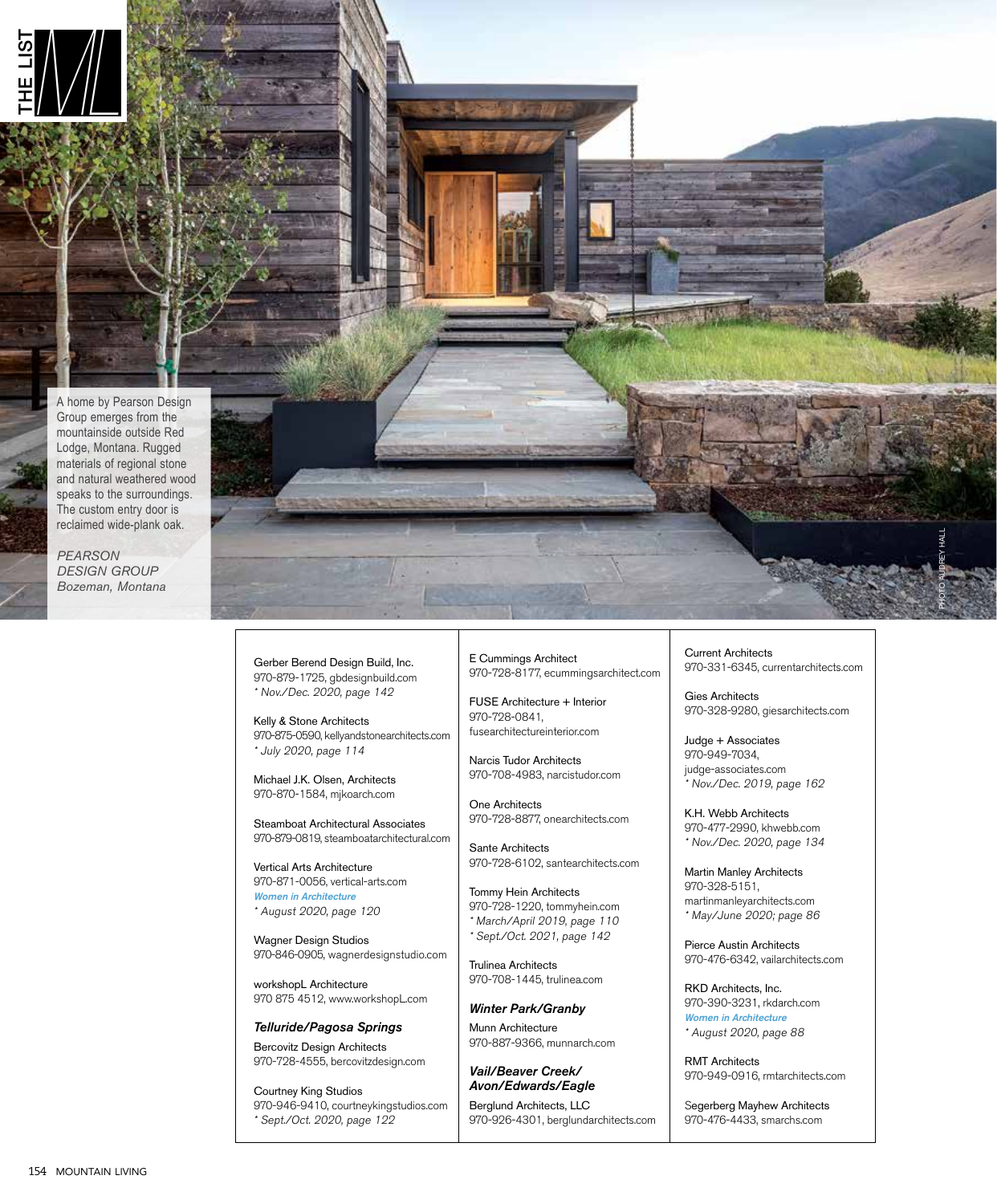

A home by Pearson Design Group emerges from the mountainside outside Red Lodge, Montana. Rugged materials of regional stone and natural weathered wood speaks to the surroundings. The custom entry door is reclaimed wide-plank oak.

*PEARSON*  **DESIGN GROUP** *Bozeman, Montana*



Gerber Berend Design Build, Inc. 970-879-1725, gbdesignbuild.com \* Nov./Dec. 2020, page 142

Kelly & Stone Architects 970-875-0590, kellyandstonearchitects.com \* July 2020, page 114

Michael J.K. Olsen, Architects 970-870-1584, mjkoarch.com

Steamboat Architectural Associates 970-879-0819, steamboatarchitectural.com

Vertical Arts Architecture 970-871-0056, vertical-arts.com Women in Architecture \* August 2020, page 120

Wagner Design Studios 970-846-0905, wagnerdesignstudio.com

workshopL Architecture 970 875 4512, www.workshopL.com

*Telluride/Pagosa Springs* Bercovitz Design Architects 970-728-4555, bercovitzdesign.com

Courtney King Studios 970-946-9410, courtneykingstudios.com \* Sept./Oct. 2020, page 122

E Cummings Architect 970-728-8177, ecummingsarchitect.com

FUSE Architecture + Interior 970-728-0841, fusearchitectureinterior.com

Narcis Tudor Architects 970-708-4983, narcistudor.com

One Architects 970-728-8877, onearchitects.com

Sante Architects 970-728-6102, santearchitects.com

Tommy Hein Architects 970-728-1220, tommyhein.com \* March/April 2019, page 110 \* Sept./Oct. 2021, page 142

Trulinea Architects 970-708-1445, trulinea.com

*Winter Park/Granby* Munn Architecture 970-887-9366, munnarch.com

*Vail/Beaver Creek/ Avon/Edwards/Eagle*

Berglund Architects, LLC 970-926-4301, berglundarchitects.com Current Architects 970-331-6345, currentarchitects.com

Gies Architects 970-328-9280, giesarchitects.com

Judge + Associates 970-949-7034, judge-associates.com Nov./Dec. 2019, page 162

K.H. Webb Architects 970-477-2990, khwebb.com \* Nov./Dec. 2020, page 134

Martin Manley Architects 970-328-5151, martinmanleyarchitects.com \* May/June 2020; page 86

Pierce Austin Architects 970-476-6342, vailarchitects.com

RKD Architects, Inc. 970-390-3231, rkdarch.com Women in Architecture \* August 2020, page 88

RMT Architects 970-949-0916, rmtarchitects.com

Segerberg Mayhew Architects 970-476-4433, smarchs.com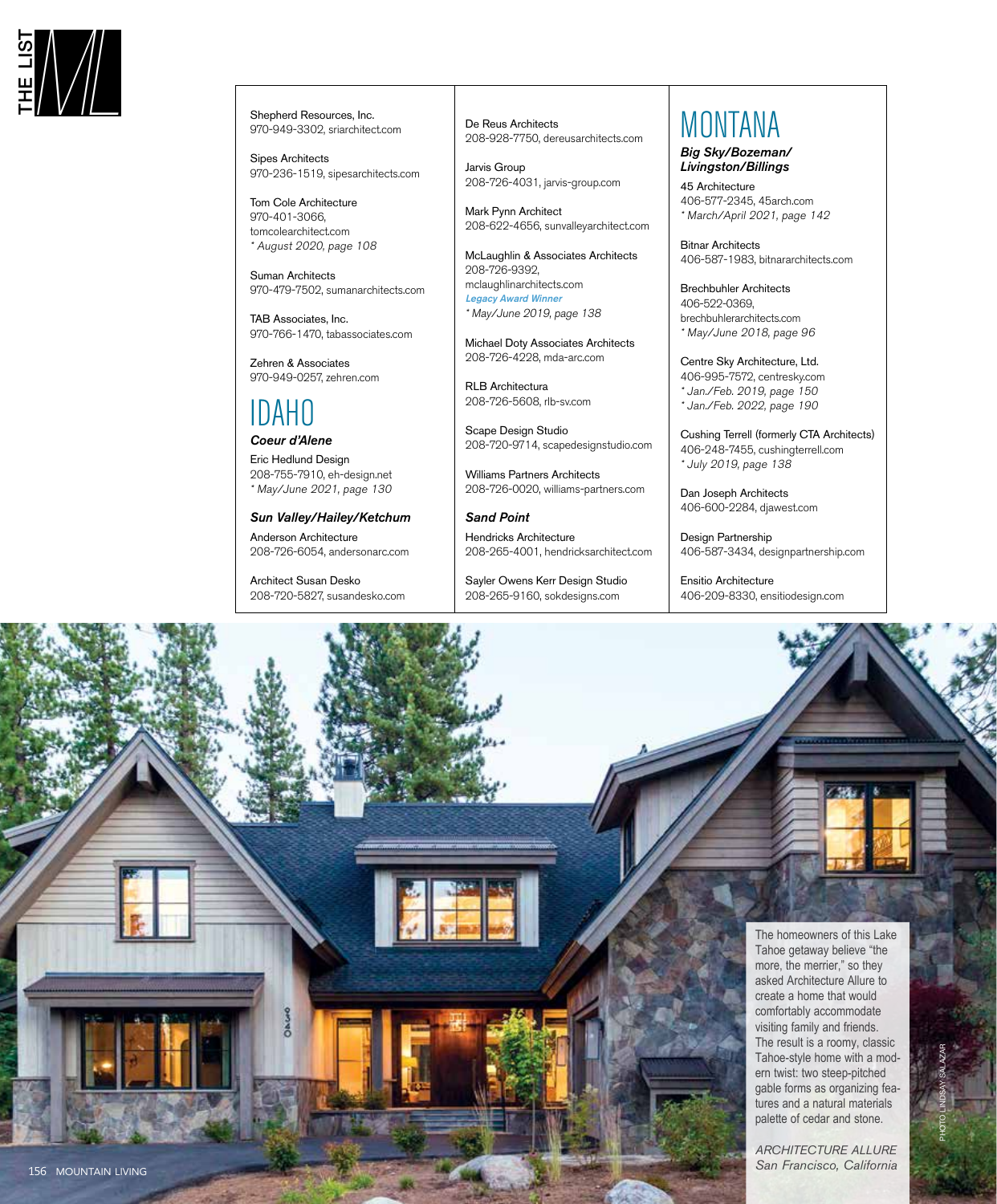

970-949-3302, sriarchitect.com

Sipes Architects 970-236-1519, sipesarchitects.com

Tom Cole Architecture 970-401-3066, tomcolearchitect.com \* August 2020, page 108

Suman Architects 970-479-7502, sumanarchitects.com

TAB Associates, Inc. 970-766-1470, tabassociates.com

Zehren & Associates 970-949-0257, zehren.com

### IDAHO

*Coeur d'Alene* Eric Hedlund Design 208-755-7910, eh-design.net \* May/June 2021, page 130

*Sun Valley/Hailey/Ketchum*

Anderson Architecture 208-726-6054, andersonarc.com

Architect Susan Desko 208-720-5827, susandesko.com De Reus Architects 208-928-7750, dereusarchitects.com

Jarvis Group 208-726-4031, jarvis-group.com

Mark Pynn Architect 208-622-4656, sunvalleyarchitect.com

McLaughlin & Associates Architects 208-726-9392, mclaughlinarchitects.com Legacy Award Winner \* May/June 2019, page 138

Michael Doty Associates Architects 208-726-4228, mda-arc.com

RLB Architectura 208-726-5608, rlb-sv.com

Scape Design Studio 208-720-9714, scapedesignstudio.com

Williams Partners Architects 208-726-0020, williams-partners.com

*Sand Point* Hendricks Architecture 208-265-4001, hendricksarchitect.com

Sayler Owens Kerr Design Studio 208-265-9160, sokdesigns.com

### MONTANA

*Big Sky/Bozeman/ Livingston/Billings* 45 Architecture

406-577-2345, 45arch.com \* March/April 2021, page 142

Bitnar Architects 406-587-1983, bitnararchitects.com

Brechbuhler Architects 406-522-0369, brechbuhlerarchitects.com \* May/June 2018, page 96

Centre Sky Architecture, Ltd. 406-995-7572, centresky.com \* Jan./Feb. 2019, page 150 \* Jan./Feb. 2022, page 190

Cushing Terrell (formerly CTA Architects) 406-248-7455, cushingterrell.com \* July 2019, page 138

Dan Joseph Architects 406-600-2284, djawest.com

Design Partnership 406-587-3434, designpartnership.com

Ensitio Architecture 406-209-8330, ensitiodesign.com

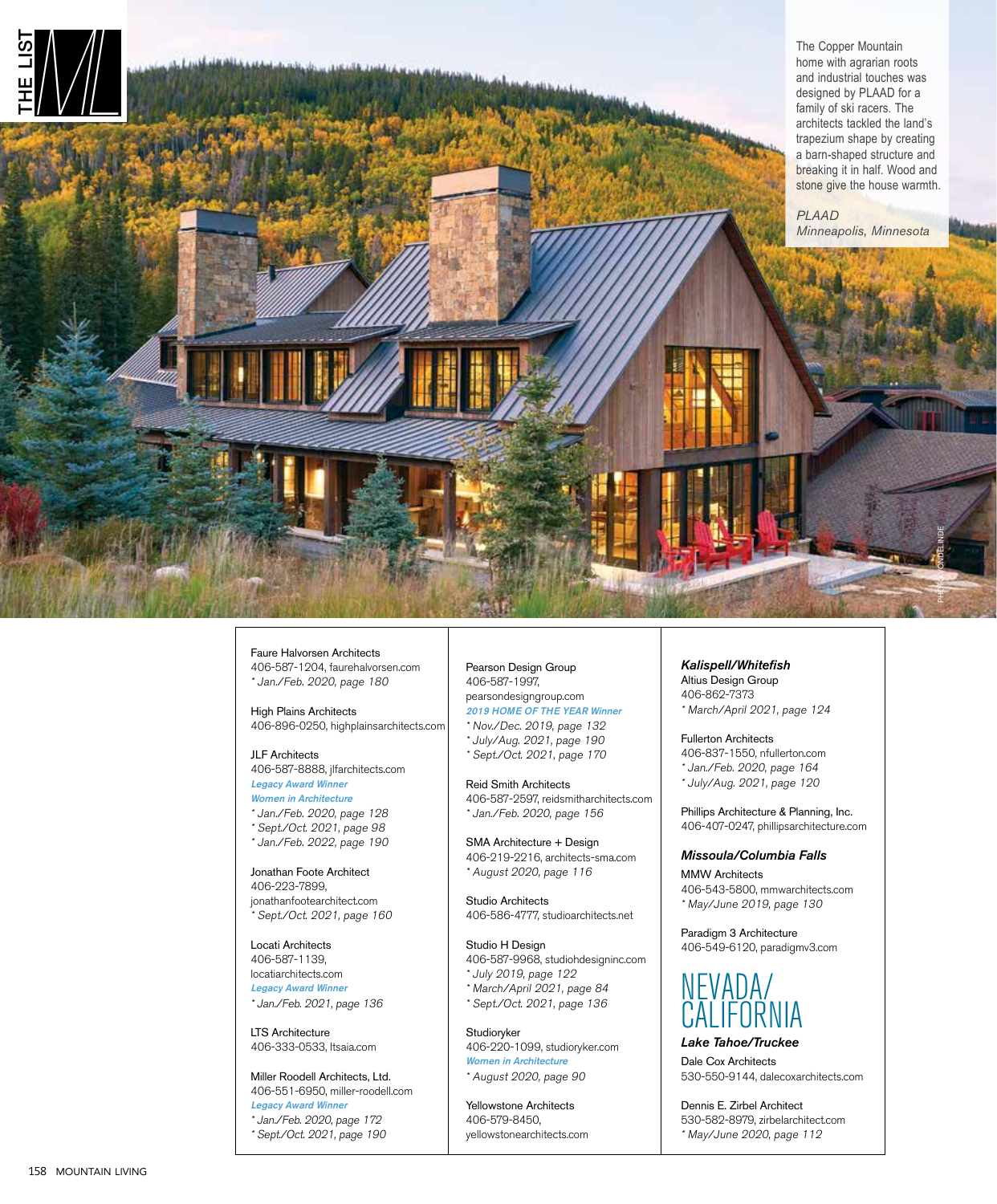

Faure Halvorsen Architects 406-587-1204, faurehalvorsen.com \* Jan./Feb. 2020, page 180

High Plains Architects 406-896-0250, highplainsarchitects.com

JLF Architects 406-587-8888, jlfarchitects.com Legacy Award Winner

Women in Architecture \* Jan./Feb. 2020, page 128 \* Sept./Oct. 2021, page 98 \* Jan./Feb. 2022, page 190

Jonathan Foote Architect 406-223-7899, jonathanfootearchitect.com \* Sept./Oct. 2021, page 160

Locati Architects 406-587-1139, locatiarchitects.com Legacy Award Winner \* Jan./Feb. 2021, page 136

LTS Architecture 406-333-0533, ltsaia.com

Miller Roodell Architects, Ltd. 406-551-6950, miller-roodell.com Legacy Award Winner \* Jan./Feb. 2020, page 172 \* Sept./Oct. 2021, page 190

Pearson Design Group 406-587-1997, pearsondesigngroup.com 2019 HOME OF THE YEAR Winner \* Nov./Dec. 2019, page 132 \* July/Aug. 2021, page 190

\* Sept./Oct. 2021, page 170

Reid Smith Architects 406-587-2597, reidsmitharchitects.com \* Jan./Feb. 2020, page 156

SMA Architecture + Design 406-219-2216, architects-sma.com \* August 2020, page 116

Studio Architects 406-586-4777, studioarchitects.net

Studio H Design 406-587-9968, studiohdesigninc.com \* July 2019, page 122 \* March/April 2021, page 84 \* Sept./Oct. 2021, page 136

**Studioryker** 406-220-1099, studioryker.com Women in Architecture \* August 2020, page 90

Yellowstone Architects 406-579-8450, yellowstonearchitects.com *Kalispell/Whitefish*

Altius Design Group 406-862-7373 \* March/April 2021, page 124

Fullerton Architects 406-837-1550, nfullerton.com \* Jan./Feb. 2020, page 164 \* July/Aug. 2021, page 120

Phillips Architecture & Planning, Inc. 406-407-0247, phillipsarchitecture.com

#### *Missoula/Columbia Falls*

MMW Architects 406-543-5800, mmwarchitects.com \* May/June 2019, page 130

Paradigm 3 Architecture 406-549-6120, paradigmv3.com



*Lake Tahoe/Truckee*

Dale Cox Architects 530-550-9144, dalecoxarchitects.com

Dennis E. Zirbel Architect 530-582-8979, zirbelarchitect.com \* May/June 2020, page 112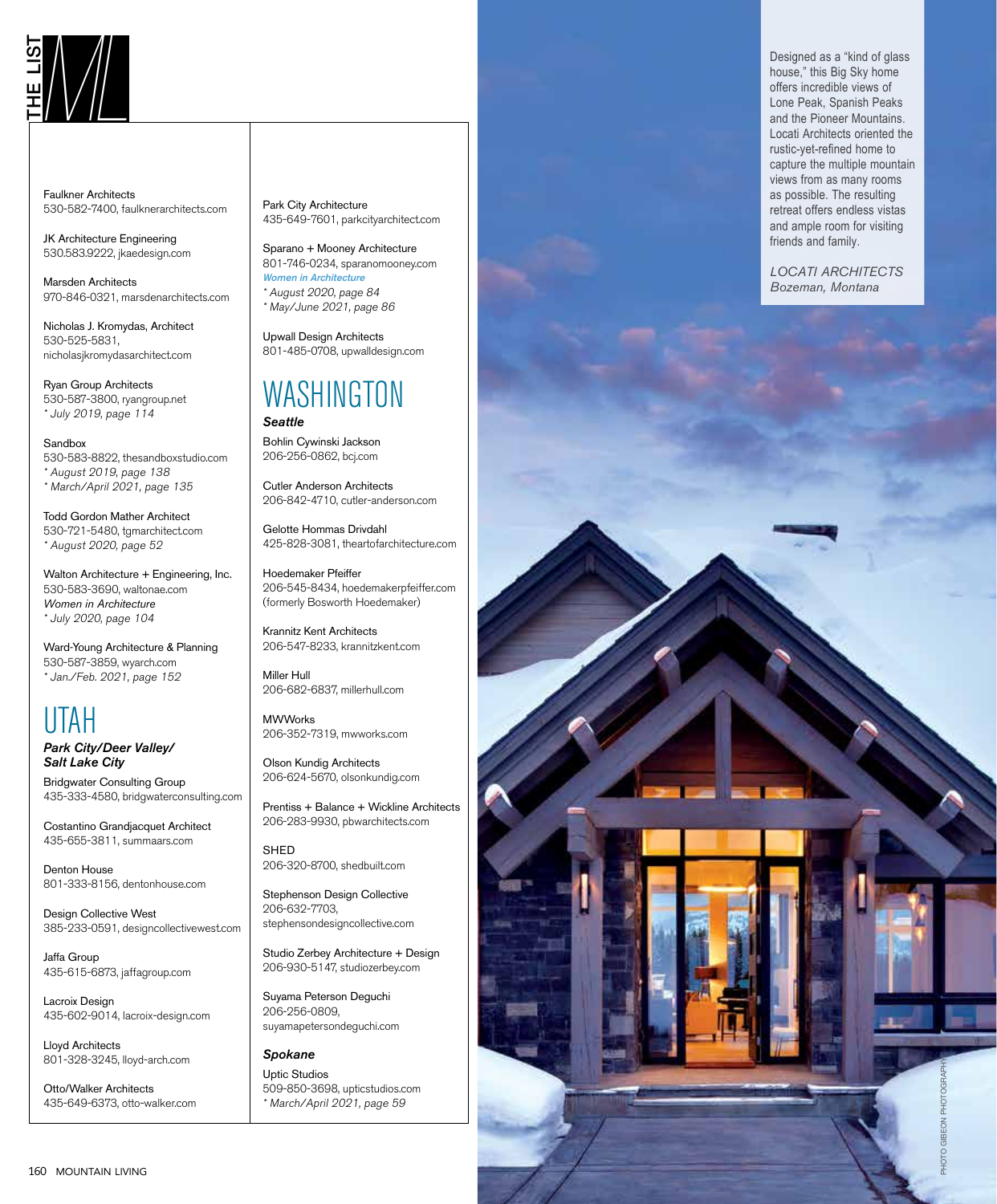Faulkner Architects 530-582-7400, faulknerarchitects.com

JK Architecture Engineering 530.583.9222, jkaedesign.com

Marsden Architects 970-846-0321, marsdenarchitects.com

Nicholas J. Kromydas, Architect 530-525-5831, nicholasjkromydasarchitect.com

Ryan Group Architects 530-587-3800, ryangroup.net \* July 2019, page 114

Sandbox 530-583-8822, thesandboxstudio.com \* August 2019, page 138 \* March/April 2021, page 135

Todd Gordon Mather Architect 530-721-5480, tgmarchitect.com \* August 2020, page 52

Walton Architecture + Engineering, Inc. 530-583-3690, waltonae.com *Women in Architecture* \* July 2020, page 104

Ward-Young Architecture & Planning 530-587-3859, wyarch.com \* Jan./Feb. 2021, page 152

## UTAH

*Park City/Deer Valley/ Salt Lake City*

Bridgwater Consulting Group 435-333-4580, bridgwaterconsulting.com

Costantino Grandjacquet Architect 435-655-3811, summaars.com

Denton House 801-333-8156, dentonhouse.com

Design Collective West 385-233-0591, designcollectivewest.com

Jaffa Group 435-615-6873, jaffagroup.com

Lacroix Design 435-602-9014, lacroix-design.com

Lloyd Architects 801-328-3245, lloyd-arch.com

Otto/Walker Architects 435-649-6373, otto-walker.com Park City Architecture 435-649-7601, parkcityarchitect.com

Sparano + Mooney Architecture 801-746-0234, sparanomooney.com Women in Architecture \* August 2020, page 84 \* May/June 2021, page 86

Upwall Design Architects 801-485-0708, upwalldesign.com

### WASHINGTON *Seattle*

Bohlin Cywinski Jackson 206-256-0862, bcj.com

Cutler Anderson Architects 206-842-4710, cutler-anderson.com

Gelotte Hommas Drivdahl 425-828-3081, theartofarchitecture.com

Hoedemaker Pfeiffer 206-545-8434, hoedemakerpfeiffer.com (formerly Bosworth Hoedemaker)

Krannitz Kent Architects 206-547-8233, krannitzkent.com

Miller Hull 206-682-6837, millerhull.com

**MWWorks** 206-352-7319, mwworks.com

Olson Kundig Architects 206-624-5670, olsonkundig.com

Prentiss + Balance + Wickline Architects 206-283-9930, pbwarchitects.com

SHED 206-320-8700, shedbuilt.com

Stephenson Design Collective 206-632-7703, stephensondesigncollective.com

Studio Zerbey Architecture + Design 206-930-5147, studiozerbey.com

Suyama Peterson Deguchi 206-256-0809, suyamapetersondeguchi.com

*Spokane* Uptic Studios 509-850-3698, upticstudios.com \* March/April 2021, page 59

THE LIST CONSULTED THE REAL Spanish Peaks and the Pioneer Mountains.<br>
THE LIST AND THE PEAK, Spanish Peaks and the Pioneer Mountains.<br>
Local Architects criented the Pioneer Mountains. house," this Big Sky home offers incredible views of Lone Peak, Spanish Peaks and the Pioneer Mountains. Locati Architects oriented the rustic-yet-refined home to capture the multiple mountain views from as many rooms as possible. The resulting retreat offers endless vistas and ample room for visiting friends and family.

> *LOCATI ARCHITECTS Bozeman, Montana*

> > PHOTO GIBEON PHOTOGRAPHY